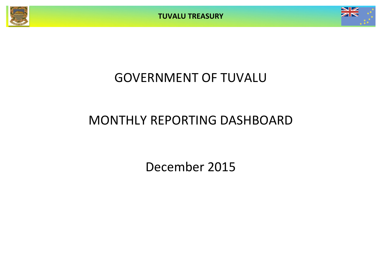**TUVALU TREASURY**



## GOVERNMENT OF TUVALU

# MONTHLY REPORTING DASHBOARD

December 2015

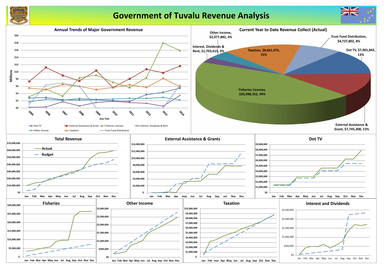

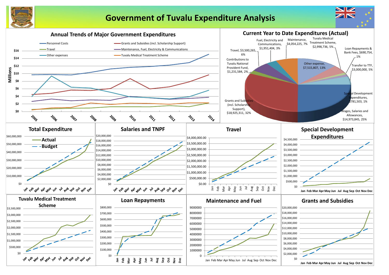

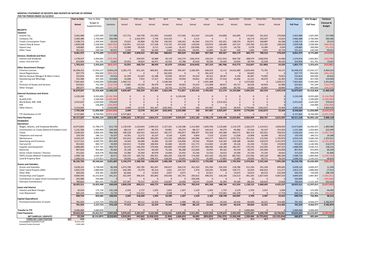### **MONTHLY STATEMENT OF RECEIPTS AND PAYENTS BY NATURE OF EXPENSE FOR THE PERIOD ENDED 31/12/2015**

|                              | August                | September                 | October                   | November              | December                 | <b>Actual+Forecast</b> | 2015 Budget           | Variance                |
|------------------------------|-----------------------|---------------------------|---------------------------|-----------------------|--------------------------|------------------------|-----------------------|-------------------------|
|                              | Actual                | Actual                    | Actual                    | Actual                | Actual                   | <b>Full Year</b>       | <b>Full Year</b>      | Forecast &              |
|                              |                       |                           |                           |                       |                          |                        |                       | <b>Budget</b>           |
|                              |                       |                           |                           |                       |                          |                        |                       |                         |
|                              | 154,800               | 162,092                   | 173,891                   | 161,812               | 270,838                  | 2,062,980              | 1,825,000             | 237,980                 |
| 0                            | $\mathbf 0$           | $\mathbf 0$               | 60,174                    | 220,247               | 14,022                   | 2,960,486              | 2,700,000             | 260,486                 |
| 5                            | 101,021               | 148,574                   | 83,871                    | 168,887               | 84,280                   | 1,338,715              | 1,309,500             | 29,215                  |
| 4                            | 140,689               | 167,137                   | 159,760                   | 212,185               | 168,620                  | 1,839,508              | 2,500,000             | (660, 492)              |
| $\overline{\mathbf{c}}$      | 13,129                | 16,735                    | 5,678                     | 14,284                | 3,934                    | 128,865                | 200,000               | (71, 135)               |
| 0<br>$\overline{\mathbf{0}}$ | 56,287                | 636                       | 1,400                     | 2,901                 | 36,734                   | 331,421                | 240,500               | 90,921                  |
|                              | 465,927               | 495,174                   | 484,775                   | 780,316               | 578,429                  | 8,661,975              | 8,775,000             | (113, 025)              |
| 3                            | (153, 191)            | 904,730                   | 288,079                   | (108, 029)            | 16,980                   | 1,376,914              | 2,003,862             | (626, 948)              |
| 6                            | 54,443                | 10,043                    | 28,769                    | 52,549                | 46,616                   | 424,858                | 351,791               | 73,067                  |
| 9                            | (98, 748)             | 914,773                   | 316,847                   | (55, 480)             | 63,595                   | 1,801,772              | 2,355,653             | (553, 881)              |
|                              |                       |                           |                           |                       |                          |                        |                       |                         |
| 6<br>9                       | 13,112<br>$\mathbf 0$ | 14,032,689<br>$\mathbf 0$ | 2,629,446<br>64,645       | 75,765<br>$\mathbf 0$ | 93,171<br>$\overline{0}$ | 26,498,352<br>507,775  | 17,034,127<br>850,000 | 9,464,224<br>(342, 225) |
| $\mathbf 1$                  | 38,367                | 5,246                     | 40,487                    | 74,905                | 79,852                   | 533,816                | 490,000               | 43,816                  |
| $\mathbf 1$                  | 57,410                | 16,466                    | 31,212                    | 40,076                | 62,465                   | 522,484                | 367,500               | 154,984                 |
| 8                            | $\mathbf 0$           | $\mathbf 0$               | 1,673,092                 | $\mathbf 0$           | 1,628,217                | 7,901,842              | 5,450,000             | 2,451,842               |
| 8                            | 80,817                | 94,727                    | 36,028                    | 44,963                | 62,980                   | 624,661                | 741,240               | (116, 579)              |
| $\frac{9}{2}$                | 21,868                | 46,756                    | 19,683                    | 26,850                | 28,893                   | 290,077                | 485,600               | (195, 524)              |
|                              | 211,574               | 14,195,884                | 4,494,593                 | 262,559               | 1,955,578                | 36,879,007             | 25,418,468            | 11,460,539              |
| 0                            | 0                     | 0                         | $\mathbf 0$               | $\mathbf 0$           | $\overline{0}$           | 3,220,240              | 8,355,000             | (5, 134, 760)           |
| 0                            | 0                     | $\mathbf 0$               | 0                         | 0                     | 0                        | $\bf{0}$               | 1,500,000             | (1,500,000)             |
| 0                            | 2,015,023             | 0                         | 0                         | 0                     | 0                        | 2,015,023              | 1,645,000             | 370,023                 |
| 0                            | $\mathbf 0$           | $\mathbf{0}$              | $\overline{0}$            | 0                     | 0                        | 0                      | 156,000               | (156,000)               |
| 7                            | 10,624                | 29,970                    | 2,770,694                 | (136, 627)            | 23,404                   | 3,005,420              | 0                     | 3,005,420               |
|                              | 2,025,647             | 29,970                    | 2,770,694                 | (136, 627)            | 23,404                   | 8,240,683              | 11,656,000            | (3, 415, 317)           |
| 0                            | $\mathbf 0$           | $\pmb{0}$                 | $\mathbf 0$               | 0                     | 0                        | 4,727,802              | 8,700,000             | (3,972,198)             |
| 9                            | 2,604,400             | 15,635,801                | 8,066,909                 | 850,767               | 2,621,007                | 60,311,238             | 56,905,120            | 3,406,118               |
|                              |                       |                           |                           |                       |                          |                        |                       |                         |
| 4                            | 1,123,669             | 1,122,379                 | 1,182,272                 | 1,114,912             | 1,858,095                | 14,973,845             | 16,456,925            | 1,483,080               |
| 3                            | 94,275                | 95,066                    | 97,420                    | 92,107                | 153,362                  | 1,231,584              | 1,454,083             | 222,499                 |
| 4                            | 243,589               | 360,371                   | 382,154                   | 292,922               | 358,922                  | 3,500,265              | 2,402,523             | (1,097,742)             |
| 9                            | 12,024                | 11,028                    | 13,968                    | 16,096                | 28,552                   | 159,764                | 184,152               | 24,388                  |
| 7                            | 569,572               | (133, 751)                | 251,421                   | 112,036               | 1,756,876                | 4,054,225              | 5,606,246             | 1,552,021               |
| 8                            | 119,165               | 108,588                   | 44,065                    | 218,679               | 2,351,879                | 3,217,312              | 1,062,011             | (2, 155, 302)           |
| 5                            | 13,289                | 29,126                    | 33,106                    | 72,502                | 129,859                  | 923,822                | 1,140,396             | 216,574                 |
| 5                            | 158,180               | 184,767                   | 170,235                   | 252,093               | 647,555                  | 2,888,083<br>867,819   | 3,036,315             | 148,231                 |
| 4<br>0                       | 80,162<br>24,622      | 45,533<br>24,290          | 40,555<br>25,156          | 145,964<br>25,226     | 116,906<br>28,662        | 315,032                | 933,846<br>406,878    | 66,028<br>91,846        |
| 0                            | 162,503               | (86, 335)                 | 215,566                   | 149,128               | 486,589                  | 2,998,736              | 1,804,000             | (1, 194, 736)           |
| 0                            | 17,801                | 31,883                    | 19,046                    | 40,771                | 76,035                   | 1,096,310              | 1,143,125             | 46,815                  |
| O                            | 2,618,850             | 1,792,944                 | 2,474,964                 | 2,532,436             | 7,993,290                | 36,226,796             | 35,630,499            | (596, 297)              |
|                              |                       |                           |                           |                       |                          |                        |                       |                         |
| 6                            | 235,550               | 118,786                   | 512,236                   | 191,169               | 499,683                  | 4,658,141              | 4,669,437             | 11,296                  |
| 5<br>1                       | 92,840<br>0           | 128,771<br>14,072         | 32,819<br>33,623          | 830,923<br>84,523     | 711,477<br>232,638       | 2,852,579<br>440,295   | 2,880,000<br>739,000  | 27,421<br>298,705       |
| 1                            | 218,166               | 116,513                   | 491,205                   | 1,827,426             | 4,967,610                | 9,890,505              | 2,887,855             | (7,002,651)             |
| 0                            | 0                     | 0                         | 42                        | 0                     | 0                        | 293,980                | 0                     | (293, 980)              |
| 4                            | 42,204                | 34,184                    | 68,226                    | 134,654               | 13,828                   | 789,810                | 1,121,324             | 331,514                 |
| 8                            | 588,760               | 412,324                   | 1,138,152                 | 3,068,695             | 6,425,237                | 18,925,311             | 12,297,615            | (6,627,695)             |
|                              |                       |                           |                           |                       |                          |                        |                       |                         |
| 5<br>0                       | 1,747<br>137,001      | 2,529<br>181,378          | 2,709<br>$\boldsymbol{0}$ | 3,447<br>0            | 5,898<br>17,754          | 30,530<br>660,224      | 125,000<br>601,966    | 94,469<br>(58, 258)     |
| 5                            | 138,748               | 183,907                   | 2,709                     | 3,447                 | 23,652                   | 690,754                | 726,966               | 36,212                  |
|                              |                       |                           |                           |                       |                          |                        |                       |                         |
| 0                            | 24,316                | 46,416                    | 60,600                    | 16,221                | 314,482                  | 781,503                | 4,564,377             | 3,782,874               |
| 0                            | 24,316                | 46,416                    | 60,600                    | 16,221                | 314,482                  | 781,503                | 4,564,377             | 3,782,874               |
| 0                            | 0                     | 0                         | 3,000,000                 | $\mathbf 0$           | 0                        | 3,000,000              | 3,000,000             | C                       |
| $\overline{\mathbf{c}}$      | 3,370,675             | 2,435,592                 | 6,676,425                 | 5,620,799             | 14,756,661               | 59,624,363             | 56,219,457            | (3,404,906)             |
|                              | (766, 275)            | 13,200,209                | 1,390,484                 | (4,770,032)           | (12, 135, 654)           | 686,875                | 685,664               | 1,211                   |
| $\overline{7}$               | 26.9                  | 40.1                      | 41.5                      | 36.7                  | 24.6                     |                        |                       |                         |

**Year to Date** Year to Date Year to Date January February March April May June July August September October November December **Actual+Forecast 2015 Budget Variance Actual** Budget & Supplementary Variance Actual Actual Actual Actual Actual Actual Actual Actual Actual Actual Actual Actual **Full Year Full Year RECEIPTS** *Taxation* Income Tax 2,062,980 1,825,000 237,980 157,723 140,709 151,645 154,855 157,566 161,410 215,639 154,800 162,092 173,891 161,812 270,838 2,062,980 1,825,000 237,980 Company Tax 2,700,000 260,486 0 2,442,970 5,740 214,223 0 3,111 0 0 60,174 220,247 14,022 2,960,486 2,700,000 260,486 Tuvalu Consumption Taxes 1,338,715 1,309,500 29,215 73,623 92,868 62,796 130,562 100,262 81,694 210,275 101,021 148,574 83,871 168,887 84,280 1,338,715 1,309,500 29,215 Import Duty & Excise 1,839,508 2,500,000 (660,492) 116,951 135,325 117,538 174,741 107,428 129,059 210,074 140,689 167,137 159,760 212,185 168,620 1,839,508 2,500,000 (660,492) Import Levy 128,865 200,000 (71,135) 13,996 26,029 9,111 11,644 16,327 (18,506) 16,502 13,129 16,735 5,678 14,284 3,934 128,865 200,000 (71,135) Other Taxes 331,421 240,500 90,921 5,590 520 50,436 2,600 100,446 59,031 14,840 56,287 636 1,400 2,901 36,734 331,421 240,500 90,921 8,661,975 8,775,000 (113,025)| 367,883 2,838,422 397,266 688,625 482,029 415,800 667,330 465,927 495,174 484,775 780,316 578,429| 8,661,975 8,775,000 (113,025) *Interest, Dividends and Rent* Interest and Dividends 2,003,862 (725,305)| 0 349,935 43,988 49,178 103,274 (246,253) 128,223 (153,191) 904,730 288,079 (108,029) 16,980| 1,376,914 2,003,862 (626,948) Lease, rent and hire 424,858 35,791 73,067 35,952 18,819 44,471 32,501 25,788 35,610 39,296 54,443 10,043 28,769 52,549 46,616 424,858 351,791 73,067 1,703,415 2,355,653 (652,237)| 35,952 368,754 88,459 81,679 129,062 (210,642) 167,519 (98,748) 914,773 316,847 (55,480) 63,595| 1,801,772 2,355,653 (553,881) *Other Government Charges* Fisheries Licenses 26,498,352 17,034,127 9,464,224 3,285,770 451,191 809,901 694,449 595,447 3,180,495 636,916 13,112 14,032,689 2,629,446 75,765 93,171 26,498,352 17,034,127 9,464,224 Vessel Registrations 507,775 850,000 (342,225) 0 0 0 261,810 0 0 181,319 0 0 64,645 0 0 507,775 850,000 (342,225) Marine Services (Nivaga II & Manu Folau)  $\begin{array}{|l} \hline \end{array}$  533,816 490,000 43,816 61,594 41,033 22,188 53,836 30,537 45,610 40,16 Stevedoring and Wharfage 1982, 1992, 1993, 1994, 1994, 1994, 1994, 1995, 1996, 1996, 1997, 1997, 1997, 1997, 1997, 1997, 1997, 1997, 1997, 1997, 1997, 1997, 1997, 1998, 1998, 1998, 1998, 1998, 1998, 1998, 1998, 1998, 1998, .TV 7,901,842 5,450,000 2,451,842 1,460,721 0 0 1,548,344 0 0 1,591,468 0 0 1,673,092 0 1,628,217 7,901,842 5,450,000 2,451,842 Provision of Goods and Services 624,661 741,240 (116,579) 17,881 19,130 49,479 34,441 39,063 33,255 111,898 80,817 94,727 36,028 44,963 62,980 624,661 741,240 (116,579) Other Charges 290,077 199,0077 485,600 (195,524) (166) 46,953 18,516 20,742 13,759 29,723 16,499 21,868 46,756 19,683 26,850 28,893 290,077 485,600 (195,524) 36,879,007 25,418,468 11,460,539| 4,850,487 566,259 917,401 2,663,248 711,857 3,345,925 2,703,642 211,574 14,195,884 4,494,593 262,559 1,955,578| 36,879,007 25,418,468 11,460,539 *External Assistance and Grants* ROC 3,220,240 8,355,000 (5,134,760) 0 0 0 0 3,220,240 0 0 0 0 0 0 0 3,220,240 8,355,000 (5,134,760) AusAID (CIF) 0 1,500,000 (1,500,000) 0 0 0 0 0 0 0 0 0 0 0 0 0 1,500,000 (1,500,000) World Bank, IMF, ADB 2,015,023 1,645,000 370,023 0 0 0 0 0 0 0 2,015,023 0 0 0 0 2,015,023 1,645,000 370,023 PDF 0 156,000 (156,000) 0 0 0 0 0 0 0 0 0 0 0 0 0 156,000 (156,000) Other Donors 2,510,045 0 2,510,045 2,499 13,578 261,247 (220,505) 2,748 100 247,687 10,624 29,970 2,770,694 (136,627) 23,404 3,005,420 0 3,005,420 7,745,308 11,656,000 (3,910,692)| 2,499 13,578 261,247 (220,505) 3,222,988 100 247,687 2,025,647 29,970 2,770,694 (136,627) 23,404| 8,240,683 11,656,000 (3,415,317) TTF Distribution to CIF 4,727,802 8,700,000 (3,972,198) 4,727,802 0 0 0 0 0 0 0 0 0 0 0 4,727,802 8,700,000 (3,972,198) Total Receipts **1988** 1989, 1999, 1999, 1999, 1999, 1999, 1999, 1999, 1999, 1999, 1999, 1999, 1999, 1999, 1999, 1999, 1999, 1999, 1999, 1999, 1999, 1999, 1999, 1999, 1999, 1999, 1999, 1999, 1999, 1999, 1999, 1999, 1999, 19 **PAYMENTS** *Operations* Wages, Salaries, and Employee Benefits | 14,973,845 15,786,575 812,730 1,139,539 1,224,063 1,099,353 1,157,291 1,126,588 1,131,900 1,693,78 Contributions to Tuvalu National Provident Fund | 1,231,584 1,400,969 169,385 88,119 99,877 90,753 94,891 93,274 88,127 144,31 Travel 3,500,265 3,806,565 306,300 346,528 160,352 256,613 185,157 183,057 398,397 332,204 243,589 360,371 382,154 292,922 358,922 3,500,265 2,402,523 (1,097,742) Telephone and Internet 159,764 186,121 26,357 14,391 12,272 16,147 9,518 *9,*854 7,519 11,028 13,968 16,096 28,552 159,764 184,152 24,388 Maintenance 4,054,225 4,982,032 927,807 101,616 145,860 340,285 122,230 189,824 165,080 433,177 569,572 (133,751) 251,421 112,036 1,756,876 4,054,225 5,606,246 1,552,021 Advertising and Provisions 3,217,312 4,069,795 852,483 14,564 46,080 56,666 32,359 124,906 20,544 79,818 119,165 108,588 44,065 218,679 2,351,879 3,217,312 1,062,011 (2,155,302) Fuel and Oil 923,822 983,727 59,905 126,912 73,858 108,054 42,684 49,595 131,772 113,065 13,289 29,126 33,106 72,502 129,859 923,822 1,140,396 216,574 Supplies and Equipment 2012 12,888,083 3,357,791 469,707 62,419 146,059 279,946 240,885 179,589 357,971 208,385 158,180 184,767 170,235 252,093 647,555 2,888,083 3,036,315 148,231 Electricity 867,819 963,481 95,662 25,148 43,353 66,630 75,166 86,288 122,660 19,454 80,162 45,533 40,555 145,964 116,906 867,819 933,846 66,028 Senior Citizen Scheme / Pension 315,032 818,478 503,446 23,380 24,360 40,978 23,660 25,932 25,246 23,520 24,622 24,290 25,156 25,226 28,662 315,032 406,878 91,846 TMTS (Tuvalu Medical Treatment Scheme) 2,998,736 3,035,307 36,571 216,732 260,742 295,051 364,203 128,195 174,200 632,160 162,503 (86,335) 215,566 149,128 486,589 2,998,736 1,804,000 (1,194,736) Land & Property Rent 1,096,310 1,157,821 61,511| 34,926 598,153 138,265 33,091 1,760 41,690 1,801 31,883 19,046 40,771 76,035| 1,096,310 1,143,125 46,815 36,226,796 40,548,661 4,321,865| 2,194,274 2,288,766 3,248,629 2,486,308 2,228,733 2,638,511 3,729,090 2,618,850 1,792,944 2,474,964 2,532,436 7,993,290| 36,226,796 35,630,499 (596,297) *Grants and Subsidies* Grants and Subsidies 4,658,141 4,738,640 80,499| 1,673,706 182,785 362,347 164,627 264,576 261,320 191,356 235,550 118,786 512,236 191,169 499,683| 4,658,141 4,669,437 11,296 Outer Island Projects (SDE) 2,852,579 2,880,000 27,421 644,780 35,379 85,216 1,651 157,317 1,370 130,035 92,840 128,771 32,819 830,923 711,477 2,852,579 2,880,000 27,421 Other SDEs 440,295 450,362 10,067| (8,184) 0 12,814 3,827 4,071 0 62,911 0 14,072 33,623 84,523 232,638| 440,295 739,000 298,705 Scholarships and Support 19,890,505 10,231,816 341,311 261,959 396,535 365,842 359,636 181,791 205,622 498,201 218,166 116,513 491,205 1,827,426 4,967,610 9,890,505 2,887,855 (7,002,651) Contribution to Japan Grant Counterpart Fund 293,980 293,980 0 0 0 0 0 0 293,938 0 0 0 42 0 0 293,980 0 (293,980) Overseas Contributions 861,151 71,341| 227,967 75,512 23,553 119,957 16,000 20,670 13,054 42,204 34,184 68,226 134,654 13,828| 789,810 1,121,324 331,514 18,925,311 19,455,949 530,639| 2,800,228 690,211 849,772 649,698 623,756 782,919 895,558 588,760 412,324 1,138,152 3,068,695 6,425,237| 18,925,311 12,297,615 (6,627,695) *Loans and Interest* Interest and Bank Charges 1986 1996, 100 176,726 175,726 145,196 2,505 2,737 1,822 1,822 1,307 1,529 2,365 1,747 2,529 2,709 3,447 5,898 30,530 125,000 94,469 Loan Repayment 660,224 683,958 23,735 0 8,568 0 0 0 137,001 181,378 0 0 17,754 660,224 601,966 (58,258) 690,754 859,685 168,931| 2,505 318,260 1,935 10,390 1,307 1,529 2,365 138,748 183,907 2,709 3,447 23,652| 690,754 726,966 36,212 *Capital Expenditures* Purchase/construction of assets 781,503 1,157,723 376,220 77,413 46,111 22,259 70,044 5,488 88,132 10,020 24,316 46,416 60,600 16,221 314,482 781,503 4,564,377 3,782,874 781,503 1,157,723 376,220| 77,413 46,111 22,259 70,044 5,488 88,132 10,020 24,316 46,416 60,600 16,221 314,482| 781,503 4,564,377 3,782,874 **Transfer to TTF** 3,000,000 3,000,000 0 0 0 0 0 0 0 0 0 0 3,000,000 0 0 3,000,000 3,000,000 0 **Total Payments 59,624,363 65,022,017 5,397,654 5,074,421 3,343,347 4,122,596 3,216,441 2,859,285 3,511,091 4,637,032 3,370,675 2,435,592 6,676,425 5,620,799 14,756,661 59,624,363 56,219,457 (3,404,906)** NET SURPLUS / (DEFICIT) 33,144 (8,116,897) 8,210,041 4,910,201 443,665 (2,458,222) (3,394) 1,686,653 40,092 (850,852 **FORECAST CASH POSITION \$M 24.6 28.8 29.3 26.8 26.8 28.5 28.5 27.7 26.9 40.1 41.5 36.7 24.6** Consolidated Investment Fund 25,612,243

General Current Account  $-1,002,408$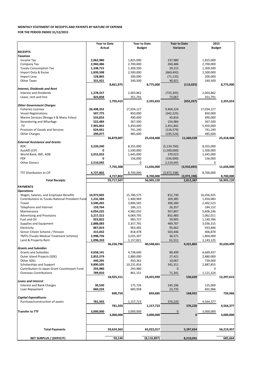| Purchase/construction of assets | 781,503                | 1,157,723              | 376,220   | 4,564,377              |
|---------------------------------|------------------------|------------------------|-----------|------------------------|
|                                 | 781,503                | 1,157,723              | 376,220   | 4,564,377              |
| <b>Transfer to TTF</b>          | 3,000,000<br>3,000,000 | 3,000,000<br>3,000,000 |           | 3,000,000<br>3,000,000 |
| <b>Total Payments</b>           | 59,624,363             | 65,022,017             | 5,397,654 | 56,219,457             |
| NET SURPLUS / (DEFECIT)         | 93,144                 | (8, 116, 897)          | 8,210,041 | 685,664                |

|                                                                          | <b>Year to Date</b>  |            | <b>Year to Date</b>   |            | <b>Year to Date</b> |             | 2015           |            |
|--------------------------------------------------------------------------|----------------------|------------|-----------------------|------------|---------------------|-------------|----------------|------------|
|                                                                          | Actual               |            | <b>Budget</b>         |            | Variance            |             | <b>Budget</b>  |            |
| <b>RECEIPTS</b>                                                          |                      |            |                       |            |                     |             |                |            |
| <b>Taxation</b>                                                          |                      |            |                       |            |                     |             |                |            |
| Income Tax                                                               | 2,062,980            |            | 1,825,000             |            | 237,980             |             | 1,825,000      |            |
| Company Tax                                                              | 2,960,486            |            | 2,700,000             |            | 260,486             |             | 2,700,000      |            |
| <b>Tuvalu Consumption Tax</b>                                            | 1,338,715            |            | 1,309,500             |            | 29,215              |             | 1,309,500      |            |
| Import Duty & Excise                                                     | 1,839,508            |            | 2,500,000             |            | (660, 492)          |             | 2,500,000      |            |
| Import Levy                                                              | 128,865              |            | 200,000               |            | (71, 135)           |             | 200,000        |            |
| <b>Other Taxes</b>                                                       | 331,421              |            | 240,500               |            | 90,921              |             | 240,500        |            |
|                                                                          |                      | 8,661,975  |                       | 8,775,000  |                     | (113, 025)  |                | 8,775,000  |
| <b>Interest, Dividends and Rent</b>                                      |                      |            |                       |            |                     |             |                |            |
| <b>Interest and Dividends</b>                                            | 1,278,557            |            | 2,003,862             |            | (725, 305)          |             | 2,003,862      |            |
| Lease, rent and hire                                                     | 424,858              |            | 351,791               |            | 73,067              |             | 351,791        |            |
|                                                                          |                      | 1,703,415  |                       | 2,355,653  |                     | (652, 237)  |                | 2,355,653  |
| <b>Other Government Charges</b><br><b>Fisheries Licenses</b>             | 26,498,352           |            |                       |            | 9,464,224           |             | 17,034,127     |            |
| <b>Vessel Registrations</b>                                              | 507,775              |            | 17,034,127<br>850,000 |            | (342, 225)          |             | 850,000        |            |
| Marine Services (Nivaga II & Manu Folau)                                 | 533,816              |            | 490,000               |            | 43,816              |             | 490,000        |            |
| Stevedoring and Wharfage                                                 | 522,484              |            | 367,500               |            | 154,984             |             | 367,500        |            |
| .TV                                                                      | 7,901,842            |            | 5,450,000             |            | 2,451,842           |             | 5,450,000      |            |
| Provision of Goods and Services                                          | 624,661              |            | 741,240               |            | (116, 579)          |             | 741,240        |            |
| <b>Other Charges</b>                                                     | 290,077              |            | 485,600               |            | (195, 524)          |             | 485,600        |            |
|                                                                          |                      | 36,879,007 |                       | 25,418,468 |                     | 11,460,539  |                | 25,418,468 |
| <b>External Assistance and Grants</b>                                    |                      |            |                       |            |                     |             |                |            |
| <b>ROC</b>                                                               | 3,220,240            |            | 8,355,000             |            | (5, 134, 760)       |             | 8,355,000      |            |
| AusAID (CIF)                                                             | 0                    |            | 1,500,000             |            | (1,500,000)         |             | 1,500,000      |            |
| World Bank, IMF, ADB                                                     | 2,015,023            |            | 1,645,000             |            | 370,023             |             | 1,645,000      |            |
| <b>PDF</b>                                                               | 0                    |            | 156,000               |            | (156,000)           |             | 156,000        |            |
| <b>Other Donors</b>                                                      | 2,510,045            |            | 0                     |            | 2,510,045           |             | 0              |            |
|                                                                          |                      | 7,745,308  |                       | 11,656,000 |                     | (3,910,692) |                | 11,656,000 |
|                                                                          |                      |            |                       |            |                     |             |                |            |
|                                                                          |                      |            |                       |            |                     |             |                |            |
| TTF Distribution to CIF                                                  | 4,727,802            |            | 8,700,000             |            | (3,972,198)         |             | 8,700,000      |            |
|                                                                          |                      | 4,727,802  |                       | 8,700,000  |                     | (3,972,198) |                | 8,700,000  |
| <b>Total Receipts</b>                                                    |                      | 59,717,507 |                       | 56,905,120 |                     | 2,812,387   |                | 56,905,120 |
| <b>PAYMENTS</b>                                                          |                      |            |                       |            |                     |             |                |            |
| <b>Operations</b>                                                        |                      |            |                       |            |                     |             |                |            |
| Wages, Salaries, and Employee Benefits                                   | 14,973,845           |            | 15,786,575            |            | 812,730             |             | 16,456,925     |            |
| <b>Contributions to Tuvalu National Provident Fund</b>                   | 1,231,584            |            | 1,400,969             |            | 169,385             |             | 1,454,083      |            |
| Travel                                                                   | 3,500,265            |            | 3,806,565             |            | 306,300             |             | 2,402,523      |            |
| Telephone and Internet                                                   | 159,764              |            | 186,121               |            | 26,357              |             | 184,152        |            |
| Maintenance                                                              | 4,054,225            |            | 4,982,032             |            | 927,807             |             | 5,606,246      |            |
| <b>Advertising and Provisions</b>                                        | 3,217,312            |            | 4,069,795             |            | 852,483             |             | 1,062,011      |            |
| Fuel and Oil                                                             | 923,822              |            | 983,727               |            | 59,905              |             | 1,140,396      |            |
| Supplies and Equipment                                                   | 2,888,083            |            | 3,357,791             |            | 469,707             |             | 3,036,315      |            |
| Electricity                                                              | 867,819              |            | 963,481               |            | 95,662              |             | 933,846        |            |
| Senior Citizen Scheme / Pension                                          | 315,032              |            | 818,478               |            | 503,446             |             | 406,878        |            |
| <b>TMTS (Tuvalu Medical Treatment Scheme)</b>                            | 2,998,736            |            | 3,035,307             |            | 36,571              |             | 1,804,000      |            |
| Land & Property Rent                                                     | 1,096,310            |            | 1,157,821             |            | 61,511              |             | 1,143,125      |            |
|                                                                          |                      | 36,226,796 |                       | 40,548,661 |                     | 4,321,865   |                | 35,630,499 |
| <b>Grants and Subsidies</b>                                              |                      |            |                       |            |                     |             |                |            |
| <b>Grants and Subsidies</b>                                              | 4,658,141            |            | 4,738,640             |            | 80,499              |             | 4,669,437      |            |
| Outer Island Projects (SDE)<br>Other SDEs                                | 2,852,579            |            | 2,880,000             |            | 27,421              |             | 2,880,000      |            |
|                                                                          | 440,295              |            | 450,362               |            | 10,067              |             | 739,000        |            |
| Scholarships and Support<br>Contribution to Japan Grant Counterpart Fund | 9,890,505<br>293,980 |            | 10,231,816<br>293,980 |            | 341,311<br>$\Omega$ |             | 2,887,855<br>0 |            |
| <b>Overseas Contributions</b>                                            | 789,810              |            | 861,151               |            |                     |             |                |            |
|                                                                          |                      | 18,925,311 |                       | 19,455,949 | 71,341              | 530,639     | 1,121,324      | 12,297,615 |
| <b>Loans and Interest</b>                                                |                      |            |                       |            |                     |             |                |            |
| Interest and Bank Charges                                                | 30,530               |            | 175,726               |            | 145,196             |             | 125,000        |            |
| Loan Repayment                                                           | 660,224              |            | 683,958               |            | 23,735              |             | 601,966        |            |
|                                                                          |                      | 690,754    |                       | 859,685    |                     | 168,931     |                | 726,966    |

## **MONTHLY STATEMENT OF RECEIPTS AND PAYENTS BY NATURE OF EXPENSE FOR THE PERIOD ENDED 31/12/2015**